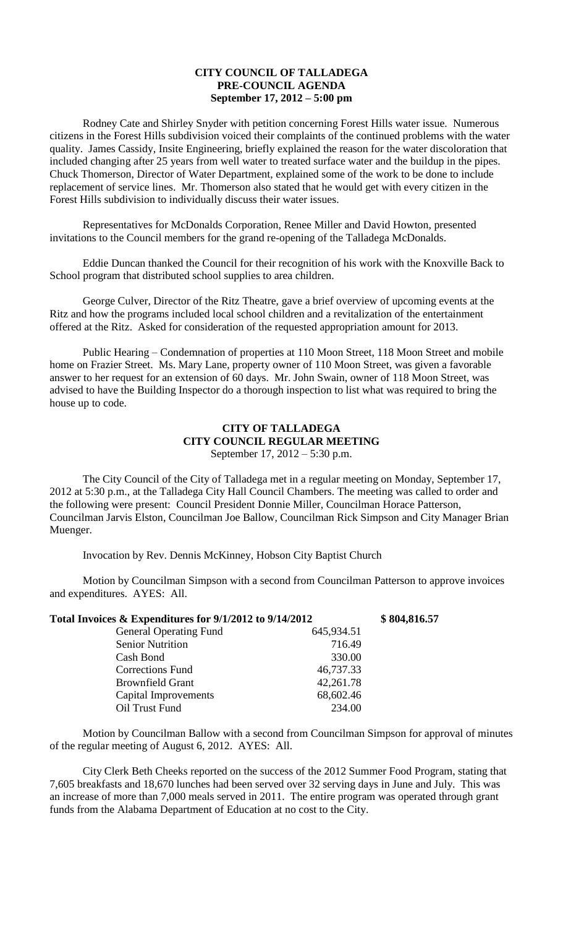## **CITY COUNCIL OF TALLADEGA PRE-COUNCIL AGENDA September 17, 2012 – 5:00 pm**

Rodney Cate and Shirley Snyder with petition concerning Forest Hills water issue. Numerous citizens in the Forest Hills subdivision voiced their complaints of the continued problems with the water quality. James Cassidy, Insite Engineering, briefly explained the reason for the water discoloration that included changing after 25 years from well water to treated surface water and the buildup in the pipes. Chuck Thomerson, Director of Water Department, explained some of the work to be done to include replacement of service lines. Mr. Thomerson also stated that he would get with every citizen in the Forest Hills subdivision to individually discuss their water issues.

Representatives for McDonalds Corporation, Renee Miller and David Howton, presented invitations to the Council members for the grand re-opening of the Talladega McDonalds.

Eddie Duncan thanked the Council for their recognition of his work with the Knoxville Back to School program that distributed school supplies to area children.

George Culver, Director of the Ritz Theatre, gave a brief overview of upcoming events at the Ritz and how the programs included local school children and a revitalization of the entertainment offered at the Ritz. Asked for consideration of the requested appropriation amount for 2013.

Public Hearing – Condemnation of properties at 110 Moon Street, 118 Moon Street and mobile home on Frazier Street. Ms. Mary Lane, property owner of 110 Moon Street, was given a favorable answer to her request for an extension of 60 days. Mr. John Swain, owner of 118 Moon Street, was advised to have the Building Inspector do a thorough inspection to list what was required to bring the house up to code.

## **CITY OF TALLADEGA CITY COUNCIL REGULAR MEETING** September 17, 2012 – 5:30 p.m.

The City Council of the City of Talladega met in a regular meeting on Monday, September 17, 2012 at 5:30 p.m., at the Talladega City Hall Council Chambers. The meeting was called to order and the following were present: Council President Donnie Miller, Councilman Horace Patterson, Councilman Jarvis Elston, Councilman Joe Ballow, Councilman Rick Simpson and City Manager Brian Muenger.

Invocation by Rev. Dennis McKinney, Hobson City Baptist Church

Motion by Councilman Simpson with a second from Councilman Patterson to approve invoices and expenditures. AYES: All.

| Total Invoices & Expenditures for 9/1/2012 to 9/14/2012 |            | \$804,816.57 |
|---------------------------------------------------------|------------|--------------|
| <b>General Operating Fund</b>                           | 645,934.51 |              |
| <b>Senior Nutrition</b>                                 | 716.49     |              |
| Cash Bond                                               | 330.00     |              |
| <b>Corrections Fund</b>                                 | 46,737.33  |              |
| <b>Brownfield Grant</b>                                 | 42,261.78  |              |
| Capital Improvements                                    | 68,602.46  |              |
| Oil Trust Fund                                          | 234.00     |              |

Motion by Councilman Ballow with a second from Councilman Simpson for approval of minutes of the regular meeting of August 6, 2012. AYES: All.

City Clerk Beth Cheeks reported on the success of the 2012 Summer Food Program, stating that 7,605 breakfasts and 18,670 lunches had been served over 32 serving days in June and July. This was an increase of more than 7,000 meals served in 2011. The entire program was operated through grant funds from the Alabama Department of Education at no cost to the City.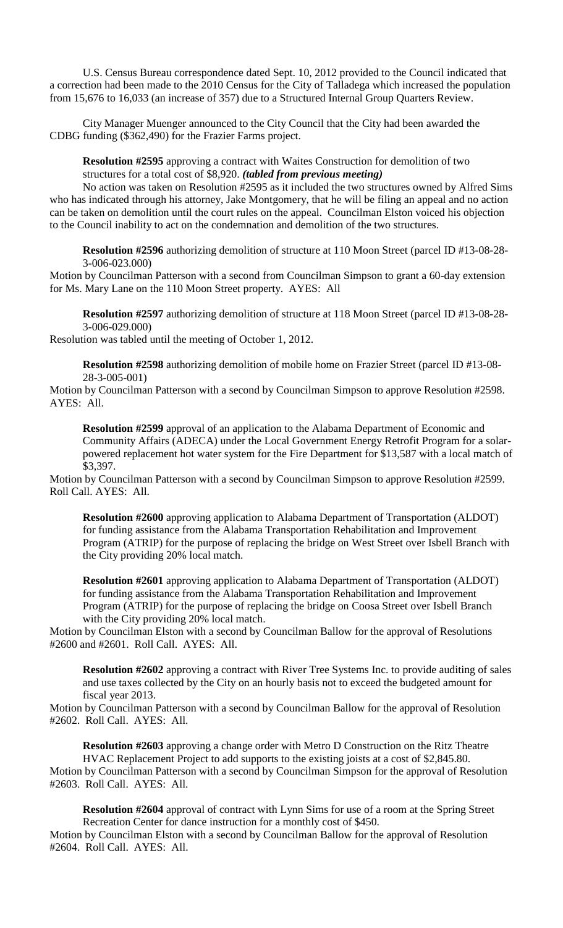U.S. Census Bureau correspondence dated Sept. 10, 2012 provided to the Council indicated that a correction had been made to the 2010 Census for the City of Talladega which increased the population from 15,676 to 16,033 (an increase of 357) due to a Structured Internal Group Quarters Review.

City Manager Muenger announced to the City Council that the City had been awarded the CDBG funding (\$362,490) for the Frazier Farms project.

**Resolution #2595** approving a contract with Waites Construction for demolition of two structures for a total cost of \$8,920. *(tabled from previous meeting)*

No action was taken on Resolution #2595 as it included the two structures owned by Alfred Sims who has indicated through his attorney, Jake Montgomery, that he will be filing an appeal and no action can be taken on demolition until the court rules on the appeal. Councilman Elston voiced his objection to the Council inability to act on the condemnation and demolition of the two structures.

**Resolution #2596** authorizing demolition of structure at 110 Moon Street (parcel ID #13-08-28- 3-006-023.000)

Motion by Councilman Patterson with a second from Councilman Simpson to grant a 60-day extension for Ms. Mary Lane on the 110 Moon Street property. AYES: All

**Resolution #2597** authorizing demolition of structure at 118 Moon Street (parcel ID #13-08-28- 3-006-029.000)

Resolution was tabled until the meeting of October 1, 2012.

**Resolution #2598** authorizing demolition of mobile home on Frazier Street (parcel ID #13-08- 28-3-005-001)

Motion by Councilman Patterson with a second by Councilman Simpson to approve Resolution #2598. AYES: All.

**Resolution #2599** approval of an application to the Alabama Department of Economic and Community Affairs (ADECA) under the Local Government Energy Retrofit Program for a solarpowered replacement hot water system for the Fire Department for \$13,587 with a local match of \$3,397.

Motion by Councilman Patterson with a second by Councilman Simpson to approve Resolution #2599. Roll Call. AYES: All.

**Resolution #2600** approving application to Alabama Department of Transportation (ALDOT) for funding assistance from the Alabama Transportation Rehabilitation and Improvement Program (ATRIP) for the purpose of replacing the bridge on West Street over Isbell Branch with the City providing 20% local match.

**Resolution #2601** approving application to Alabama Department of Transportation (ALDOT) for funding assistance from the Alabama Transportation Rehabilitation and Improvement Program (ATRIP) for the purpose of replacing the bridge on Coosa Street over Isbell Branch with the City providing 20% local match.

Motion by Councilman Elston with a second by Councilman Ballow for the approval of Resolutions #2600 and #2601. Roll Call. AYES: All.

**Resolution #2602** approving a contract with River Tree Systems Inc. to provide auditing of sales and use taxes collected by the City on an hourly basis not to exceed the budgeted amount for fiscal year 2013.

Motion by Councilman Patterson with a second by Councilman Ballow for the approval of Resolution #2602. Roll Call. AYES: All.

**Resolution #2603** approving a change order with Metro D Construction on the Ritz Theatre HVAC Replacement Project to add supports to the existing joists at a cost of \$2,845.80. Motion by Councilman Patterson with a second by Councilman Simpson for the approval of Resolution #2603. Roll Call. AYES: All.

**Resolution #2604** approval of contract with Lynn Sims for use of a room at the Spring Street Recreation Center for dance instruction for a monthly cost of \$450.

Motion by Councilman Elston with a second by Councilman Ballow for the approval of Resolution #2604. Roll Call. AYES: All.